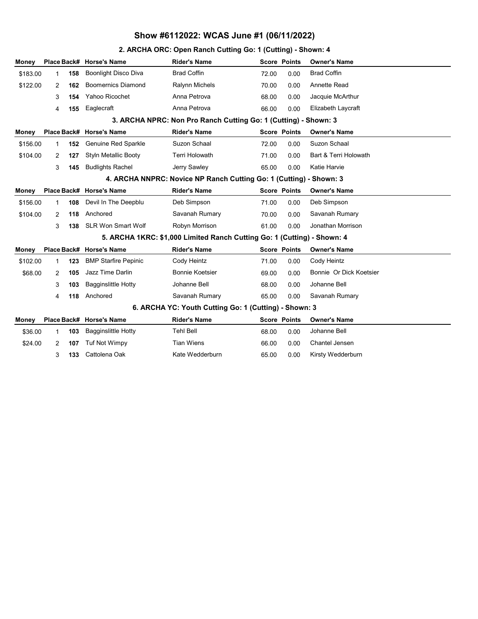#### 2. ARCHA ORC: Open Ranch Cutting Go: 1 (Cutting) - Shown: 4

| Money                                                              |   |     | Place Back# Horse's Name                                        | <b>Rider's Name</b>                                                     |       | <b>Score Points</b> | <b>Owner's Name</b>     |  |  |
|--------------------------------------------------------------------|---|-----|-----------------------------------------------------------------|-------------------------------------------------------------------------|-------|---------------------|-------------------------|--|--|
| \$183.00                                                           | 1 | 158 | <b>Boonlight Disco Diva</b>                                     | <b>Brad Coffin</b>                                                      | 72.00 | 0.00                | <b>Brad Coffin</b>      |  |  |
| \$122.00                                                           | 2 | 162 | <b>Boomernics Diamond</b>                                       | Ralynn Michels                                                          | 70.00 | 0.00                | Annette Read            |  |  |
|                                                                    | 3 | 154 | Yahoo Ricochet                                                  | Anna Petrova                                                            | 68.00 | 0.00                | Jacquie McArthur        |  |  |
|                                                                    | 4 | 155 | Eaglecraft                                                      | Anna Petrova                                                            | 66.00 | 0.00                | Elizabeth Laycraft      |  |  |
|                                                                    |   |     | 3. ARCHA NPRC: Non Pro Ranch Cutting Go: 1 (Cutting) - Shown: 3 |                                                                         |       |                     |                         |  |  |
| <b>Money</b>                                                       |   |     | Place Back# Horse's Name                                        | <b>Rider's Name</b>                                                     |       | <b>Score Points</b> | <b>Owner's Name</b>     |  |  |
| \$156.00                                                           | 1 | 152 | Genuine Red Sparkle                                             | Suzon Schaal                                                            | 72.00 | 0.00                | Suzon Schaal            |  |  |
| \$104.00                                                           | 2 | 127 | <b>Styln Metallic Booty</b>                                     | <b>Terri Holowath</b>                                                   | 71.00 | 0.00                | Bart & Terri Holowath   |  |  |
|                                                                    | 3 | 145 | <b>Budlights Rachel</b>                                         | Jerry Sawley                                                            | 65.00 | 0.00                | Katie Harvie            |  |  |
| 4. ARCHA NNPRC: Novice NP Ranch Cutting Go: 1 (Cutting) - Shown: 3 |   |     |                                                                 |                                                                         |       |                     |                         |  |  |
| Money                                                              |   |     | Place Back# Horse's Name                                        | <b>Rider's Name</b>                                                     |       | <b>Score Points</b> | <b>Owner's Name</b>     |  |  |
| \$156.00                                                           | 1 | 108 | Devil In The Deepblu                                            | Deb Simpson                                                             | 71.00 | 0.00                | Deb Simpson             |  |  |
| \$104.00                                                           | 2 | 118 | Anchored                                                        | Savanah Rumary                                                          | 70.00 | 0.00                | Savanah Rumary          |  |  |
|                                                                    | 3 | 138 | <b>SLR Won Smart Wolf</b>                                       | Robyn Morrison                                                          | 61.00 | 0.00                | Jonathan Morrison       |  |  |
|                                                                    |   |     |                                                                 | 5. ARCHA 1KRC: \$1,000 Limited Ranch Cutting Go: 1 (Cutting) - Shown: 4 |       |                     |                         |  |  |
| Money                                                              |   |     | Place Back# Horse's Name                                        | <b>Rider's Name</b>                                                     |       | <b>Score Points</b> | <b>Owner's Name</b>     |  |  |
| \$102.00                                                           | 1 | 123 | <b>BMP Starfire Pepinic</b>                                     | Cody Heintz                                                             | 71.00 | 0.00                | Cody Heintz             |  |  |
| \$68.00                                                            | 2 | 105 | Jazz Time Darlin                                                | <b>Bonnie Koetsier</b>                                                  | 69.00 | 0.00                | Bonnie Or Dick Koetsier |  |  |
|                                                                    | 3 | 103 | <b>Bagginslittle Hotty</b>                                      | Johanne Bell                                                            | 68.00 | 0.00                | Johanne Bell            |  |  |
|                                                                    | 4 | 118 | Anchored                                                        | Savanah Rumary                                                          | 65.00 | 0.00                | Savanah Rumary          |  |  |
| 6. ARCHA YC: Youth Cutting Go: 1 (Cutting) - Shown: 3              |   |     |                                                                 |                                                                         |       |                     |                         |  |  |
| <b>Money</b>                                                       |   |     | Place Back# Horse's Name                                        | <b>Rider's Name</b>                                                     |       | <b>Score Points</b> | <b>Owner's Name</b>     |  |  |
| \$36.00                                                            | 1 | 103 | <b>Bagginslittle Hotty</b>                                      | <b>Tehl Bell</b>                                                        | 68.00 | 0.00                | Johanne Bell            |  |  |
| \$24.00                                                            | 2 | 107 | <b>Tuf Not Wimpy</b>                                            | <b>Tian Wiens</b>                                                       | 66.00 | 0.00                | Chantel Jensen          |  |  |
|                                                                    | 3 | 133 | Cattolena Oak                                                   | Kate Wedderburn                                                         | 65.00 | 0.00                | Kirsty Wedderburn       |  |  |
|                                                                    |   |     |                                                                 |                                                                         |       |                     |                         |  |  |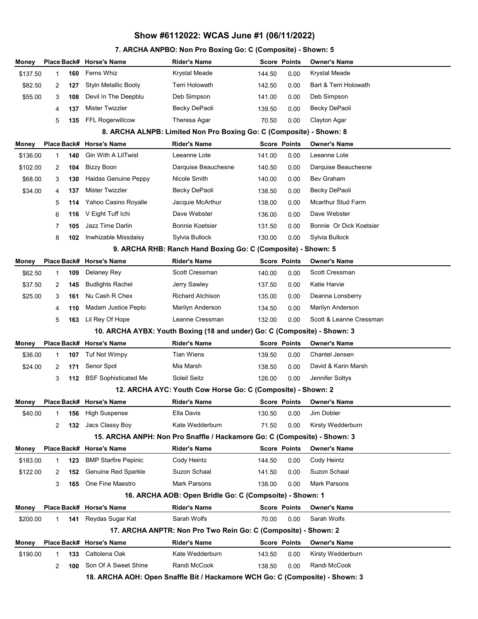## 7. ARCHA ANPBO: Non Pro Boxing Go: C (Composite) - Shown: 5

| Money                                                                    |                                                                              |     | Place Back# Horse's Name    | <b>Rider's Name</b>                                                      |        | <b>Score Points</b> | <b>Owner's Name</b>       |  |  |  |
|--------------------------------------------------------------------------|------------------------------------------------------------------------------|-----|-----------------------------|--------------------------------------------------------------------------|--------|---------------------|---------------------------|--|--|--|
| \$137.50                                                                 | 1                                                                            | 160 | Ferns Whiz                  | Krystal Meade                                                            | 144.50 | 0.00                | Krystal Meade             |  |  |  |
| \$82.50                                                                  | 2                                                                            | 127 | <b>Styln Metallic Booty</b> | Terri Holowath                                                           | 142.50 | 0.00                | Bart & Terri Holowath     |  |  |  |
| \$55.00                                                                  | 3                                                                            | 108 | Devil In The Deepblu        | Deb Simpson                                                              | 141.00 | 0.00                | Deb Simpson               |  |  |  |
|                                                                          | 4                                                                            | 137 | Mister Twizzler             | Becky DePaoli                                                            | 139.50 | 0.00                | Becky DePaoli             |  |  |  |
|                                                                          | 5                                                                            | 135 | FFL Rogerwillcow            | Theresa Agar                                                             | 70.50  | 0.00                | Clayton Agar              |  |  |  |
|                                                                          | 8. ARCHA ALNPB: Limited Non Pro Boxing Go: C (Composite) - Shown: 8          |     |                             |                                                                          |        |                     |                           |  |  |  |
| Money                                                                    |                                                                              |     | Place Back# Horse's Name    | <b>Rider's Name</b>                                                      |        | <b>Score Points</b> | <b>Owner's Name</b>       |  |  |  |
| \$136.00                                                                 | 1                                                                            | 140 | Gin With A LilTwist         | Leeanne Lote                                                             | 141.00 | 0.00                | Leeanne Lote              |  |  |  |
| \$102.00                                                                 | 2                                                                            | 104 | <b>Bizzy Boon</b>           | Darquise Beauchesne                                                      | 140.50 | 0.00                | Darquise Beauchesne       |  |  |  |
| \$68.00                                                                  | 3                                                                            | 130 | Haidas Genuine Peppy        | Nicole Smith                                                             | 140.00 | 0.00                | Bev Graham                |  |  |  |
| \$34.00                                                                  | 4                                                                            | 137 | <b>Mister Twizzler</b>      | Becky DePaoli                                                            | 138.50 | 0.00                | Becky DePaoli             |  |  |  |
|                                                                          | 5                                                                            | 114 | Yahoo Casino Royalle        | Jacquie McArthur                                                         | 138.00 | 0.00                | <b>Mcarthur Stud Farm</b> |  |  |  |
|                                                                          | 6                                                                            | 116 | V Eight Tuff Ichi           | Dave Webster                                                             | 136.00 | 0.00                | Dave Webster              |  |  |  |
|                                                                          | 7                                                                            | 105 | Jazz Time Darlin            | <b>Bonnie Koetsier</b>                                                   | 131.50 | 0.00                | Bonnie Or Dick Koetsier   |  |  |  |
|                                                                          | 8                                                                            | 102 | Inwhizable Missdaisy        | Sylvia Bullock                                                           | 130.00 | 0.00                | Sylvia Bullock            |  |  |  |
|                                                                          | 9. ARCHA RHB: Ranch Hand Boxing Go: C (Composite) - Shown: 5                 |     |                             |                                                                          |        |                     |                           |  |  |  |
| Money                                                                    |                                                                              |     | Place Back# Horse's Name    | <b>Rider's Name</b>                                                      |        | <b>Score Points</b> | <b>Owner's Name</b>       |  |  |  |
| \$62.50                                                                  | 1                                                                            | 109 | Delaney Rey                 | Scott Cressman                                                           | 140.00 | 0.00                | Scott Cressman            |  |  |  |
| \$37.50                                                                  | 2                                                                            | 145 | <b>Budlights Rachel</b>     | Jerry Sawley                                                             | 137.50 | 0.00                | Katie Harvie              |  |  |  |
| \$25.00                                                                  | 3                                                                            | 161 | Nu Cash R Chex              | <b>Richard Atchison</b>                                                  | 135.00 | 0.00                | Deanna Lonsberry          |  |  |  |
|                                                                          | 4                                                                            | 110 | Madam Justice Pepto         | Marilyn Anderson                                                         | 134.50 | 0.00                | Marilyn Anderson          |  |  |  |
|                                                                          | 5                                                                            | 163 | Lil Rey Of Hope             | Leanne Cressman                                                          | 132.00 | 0.00                | Scott & Leanne Cressman   |  |  |  |
|                                                                          |                                                                              |     |                             | 10. ARCHA AYBX: Youth Boxing (18 and under) Go: C (Composite) - Shown: 3 |        |                     |                           |  |  |  |
| Money                                                                    |                                                                              |     | Place Back# Horse's Name    | <b>Rider's Name</b>                                                      |        | <b>Score Points</b> | <b>Owner's Name</b>       |  |  |  |
| \$36.00                                                                  | 1                                                                            | 107 | <b>Tuf Not Wimpy</b>        | <b>Tian Wiens</b>                                                        | 139.50 | 0.00                | Chantel Jensen            |  |  |  |
| \$24.00                                                                  | 2                                                                            | 171 | Senor Spot                  | Mia Marsh                                                                | 138.50 | 0.00                | David & Karin Marsh       |  |  |  |
|                                                                          | 3                                                                            | 112 | <b>BSF Sophisticated Me</b> | Soleil Seitz                                                             | 126.00 | 0.00                | Jennifer Soltys           |  |  |  |
|                                                                          |                                                                              |     |                             | 12. ARCHA AYC: Youth Cow Horse Go: C (Composite) - Shown: 2              |        |                     |                           |  |  |  |
| Money                                                                    |                                                                              |     | Place Back# Horse's Name    | <b>Rider's Name</b>                                                      |        | <b>Score Points</b> | <b>Owner's Name</b>       |  |  |  |
| \$40.00                                                                  | 1                                                                            | 156 | <b>High Suspense</b>        | Ella Davis                                                               | 130.50 | 0.00                | Jim Dobler                |  |  |  |
|                                                                          | 2                                                                            | 132 | Jacs Classy Boy             | Kate Wedderburn                                                          | 71.50  | 0.00                | Kirsty Wedderburn         |  |  |  |
| 15. ARCHA ANPH: Non Pro Snaffle / Hackamore Go: C (Composite) - Shown: 3 |                                                                              |     |                             |                                                                          |        |                     |                           |  |  |  |
| Money                                                                    |                                                                              |     | Place Back# Horse's Name    | <b>Rider's Name</b>                                                      |        | <b>Score Points</b> | <b>Owner's Name</b>       |  |  |  |
| \$183.00                                                                 | 1                                                                            | 123 | <b>BMP Starfire Pepinic</b> | Cody Heintz                                                              | 144.50 | 0.00                | Cody Heintz               |  |  |  |
| \$122.00                                                                 | 2                                                                            | 152 | Genuine Red Sparkle         | Suzon Schaal                                                             | 141.50 | 0.00                | Suzon Schaal              |  |  |  |
|                                                                          | 3                                                                            | 165 | One Fine Maestro            | Mark Parsons                                                             | 138.00 | 0.00                | <b>Mark Parsons</b>       |  |  |  |
| 16. ARCHA AOB: Open Bridle Go: C (Compsoite) - Shown: 1                  |                                                                              |     |                             |                                                                          |        |                     |                           |  |  |  |
| Money                                                                    |                                                                              |     | Place Back# Horse's Name    | <b>Rider's Name</b>                                                      |        | <b>Score Points</b> | <b>Owner's Name</b>       |  |  |  |
| \$200.00                                                                 | 1                                                                            | 141 | Reydas Sugar Kat            | Sarah Wolfs                                                              | 70.00  | 0.00                | Sarah Wolfs               |  |  |  |
|                                                                          | 17. ARCHA ANPTR: Non Pro Two Rein Go: C (Composite) - Shown: 2               |     |                             |                                                                          |        |                     |                           |  |  |  |
| Money                                                                    |                                                                              |     | Place Back# Horse's Name    | <b>Rider's Name</b>                                                      |        | <b>Score Points</b> | <b>Owner's Name</b>       |  |  |  |
| \$190.00                                                                 | 1                                                                            | 133 | Cattolena Oak               | Kate Wedderburn                                                          | 143.50 | 0.00                | Kirsty Wedderburn         |  |  |  |
|                                                                          | 2                                                                            | 100 | Son Of A Sweet Shine        | Randi McCook                                                             | 138.50 | 0.00                | Randi McCook              |  |  |  |
|                                                                          | 18. ARCHA AOH: Open Snaffle Bit / Hackamore WCH Go: C (Composite) - Shown: 3 |     |                             |                                                                          |        |                     |                           |  |  |  |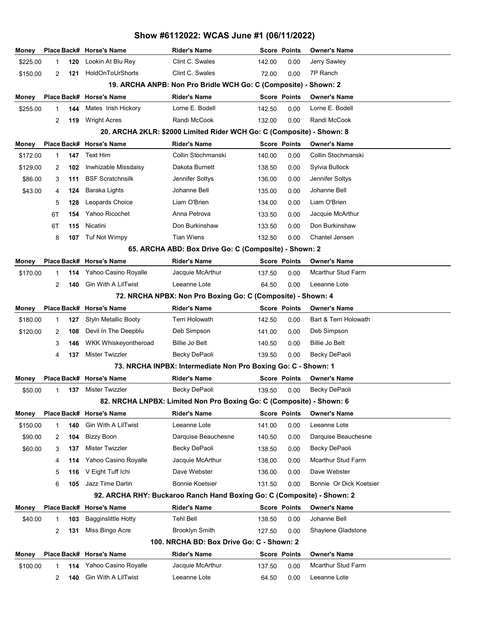| Money                                                                                                                                                                     |                                                                       |     | Place Back# Horse's Name    | <b>Rider's Name</b>                                           |        | <b>Score Points</b> | <b>Owner's Name</b>       |  |  |  |  |
|---------------------------------------------------------------------------------------------------------------------------------------------------------------------------|-----------------------------------------------------------------------|-----|-----------------------------|---------------------------------------------------------------|--------|---------------------|---------------------------|--|--|--|--|
| \$225.00                                                                                                                                                                  | 1                                                                     | 120 | Lookin At Blu Rey           | Clint C. Swales                                               | 142.00 | 0.00                | Jerry Sawley              |  |  |  |  |
| \$150.00                                                                                                                                                                  | 2                                                                     | 121 | HoldOnToUrShorts            | Clint C. Swales                                               | 72.00  | 0.00                | 7P Ranch                  |  |  |  |  |
|                                                                                                                                                                           | 19. ARCHA ANPB: Non Pro Bridle WCH Go: C (Composite) - Shown: 2       |     |                             |                                                               |        |                     |                           |  |  |  |  |
| Money                                                                                                                                                                     |                                                                       |     | Place Back# Horse's Name    | <b>Rider's Name</b>                                           |        | <b>Score Points</b> | <b>Owner's Name</b>       |  |  |  |  |
| \$255.00                                                                                                                                                                  | 1                                                                     | 144 | Mates Irish Hickory         | Lorne E. Bodell                                               | 142.50 | 0.00                | Lorne E. Bodell           |  |  |  |  |
|                                                                                                                                                                           | 2                                                                     | 119 | <b>Wright Acres</b>         | Randi McCook                                                  | 132.00 | 0.00                | Randi McCook              |  |  |  |  |
|                                                                                                                                                                           | 20. ARCHA 2KLR: \$2000 Limited Rider WCH Go: C (Composite) - Shown: 8 |     |                             |                                                               |        |                     |                           |  |  |  |  |
| Money                                                                                                                                                                     |                                                                       |     | Place Back# Horse's Name    | <b>Rider's Name</b>                                           |        | <b>Score Points</b> | <b>Owner's Name</b>       |  |  |  |  |
| \$172.00                                                                                                                                                                  | 1                                                                     | 147 | Text Him                    | Collin Stochmanski                                            | 140.00 | 0.00                | Collin Stochmanski        |  |  |  |  |
| \$129.00                                                                                                                                                                  | 2                                                                     | 102 | Inwhizable Missdaisy        | Dakota Burnett                                                | 138.50 | 0.00                | Sylvia Bullock            |  |  |  |  |
| \$86.00                                                                                                                                                                   | 3                                                                     | 111 | <b>BSF Scratchnsilk</b>     | Jennifer Soltys                                               | 136.00 | 0.00                | Jennifer Soltys           |  |  |  |  |
| \$43.00                                                                                                                                                                   | 4                                                                     | 124 | Baraka Lights               | Johanne Bell                                                  | 135.00 | 0.00                | Johanne Bell              |  |  |  |  |
|                                                                                                                                                                           | 5                                                                     | 128 | Leopards Choice             | Liam O'Brien                                                  | 134.00 | 0.00                | Liam O'Brien              |  |  |  |  |
|                                                                                                                                                                           | 6T                                                                    | 154 | Yahoo Ricochet              | Anna Petrova                                                  | 133.50 | 0.00                | Jacquie McArthur          |  |  |  |  |
|                                                                                                                                                                           | 6T                                                                    | 115 | Nicatini                    | Don Burkinshaw                                                | 133.50 | 0.00                | Don Burkinshaw            |  |  |  |  |
|                                                                                                                                                                           | 8                                                                     | 107 | Tuf Not Wimpy               | <b>Tian Wiens</b>                                             | 132.50 | 0.00                | Chantel Jensen            |  |  |  |  |
| 65. ARCHA ABD: Box Drive Go: C (Composite) - Shown: 2                                                                                                                     |                                                                       |     |                             |                                                               |        |                     |                           |  |  |  |  |
| Money                                                                                                                                                                     |                                                                       |     | Place Back# Horse's Name    | <b>Rider's Name</b>                                           |        | <b>Score Points</b> | <b>Owner's Name</b>       |  |  |  |  |
| \$170.00                                                                                                                                                                  | 1                                                                     | 114 | Yahoo Casino Royalle        | Jacquie McArthur                                              | 137.50 | 0.00                | <b>Mcarthur Stud Farm</b> |  |  |  |  |
|                                                                                                                                                                           | 2                                                                     | 140 | Gin With A LilTwist         | Leeanne Lote                                                  | 64.50  | 0.00                | Leeanne Lote              |  |  |  |  |
|                                                                                                                                                                           |                                                                       |     |                             | 72. NRCHA NPBX: Non Pro Boxing Go: C (Composite) - Shown: 4   |        |                     |                           |  |  |  |  |
| Money                                                                                                                                                                     |                                                                       |     | Place Back# Horse's Name    | <b>Rider's Name</b>                                           |        | <b>Score Points</b> | <b>Owner's Name</b>       |  |  |  |  |
| \$180.00                                                                                                                                                                  | $\mathbf{1}$                                                          | 127 | <b>Styln Metallic Booty</b> | Terri Holowath                                                | 142.50 | 0.00                | Bart & Terri Holowath     |  |  |  |  |
| \$120.00                                                                                                                                                                  | 2                                                                     | 108 | Devil In The Deepblu        | Deb Simpson                                                   | 141.00 | 0.00                | Deb Simpson               |  |  |  |  |
|                                                                                                                                                                           | 3                                                                     | 146 | <b>WKK Whiskeyontheroad</b> | Billie Jo Belt                                                | 140.50 | 0.00                | <b>Billie Jo Belt</b>     |  |  |  |  |
|                                                                                                                                                                           | 4                                                                     | 137 | <b>Mister Twizzler</b>      | Becky DePaoli                                                 | 139.50 | 0.00                | Becky DePaoli             |  |  |  |  |
|                                                                                                                                                                           |                                                                       |     |                             | 73. NRCHA INPBX: Intermediate Non Pro Boxing Go: C - Shown: 1 |        |                     |                           |  |  |  |  |
| Money                                                                                                                                                                     |                                                                       |     | Place Back# Horse's Name    | <b>Rider's Name</b>                                           |        | <b>Score Points</b> | <b>Owner's Name</b>       |  |  |  |  |
| \$50.00                                                                                                                                                                   | 1                                                                     |     | 137 Mister Twizzler         | Becky DePaoli                                                 | 139.50 | 0.00                | Becky DePaoli             |  |  |  |  |
| 82. NRCHA LNPBX: Limited Non Pro Boxing Go: C (Composite) - Shown: 6                                                                                                      |                                                                       |     |                             |                                                               |        |                     |                           |  |  |  |  |
| Money                                                                                                                                                                     |                                                                       |     | Place Back# Horse's Name    | <b>Rider's Name</b>                                           |        | <b>Score Points</b> | <b>Owner's Name</b>       |  |  |  |  |
| \$150.00                                                                                                                                                                  | 1                                                                     | 140 | Gin With A LilTwist         | Leeanne Lote                                                  | 141.00 | 0.00                | Leeanne Lote              |  |  |  |  |
| \$90.00                                                                                                                                                                   | 2                                                                     | 104 | <b>Bizzy Boon</b>           | Darquise Beauchesne                                           | 140.50 | 0.00                | Darquise Beauchesne       |  |  |  |  |
| \$60.00                                                                                                                                                                   | 3                                                                     | 137 | Mister Twizzler             | Becky DePaoli                                                 | 138.50 | 0.00                | Becky DePaoli             |  |  |  |  |
|                                                                                                                                                                           | 4                                                                     | 114 | Yahoo Casino Royalle        | Jacquie McArthur                                              | 138.00 | 0.00                | <b>Mcarthur Stud Farm</b> |  |  |  |  |
|                                                                                                                                                                           | 5                                                                     | 116 | V Eight Tuff Ichi           | Dave Webster                                                  | 136.00 | 0.00                | Dave Webster              |  |  |  |  |
|                                                                                                                                                                           | 6                                                                     | 105 | Jazz Time Darlin            | <b>Bonnie Koetsier</b>                                        | 131.50 | 0.00                | Bonnie Or Dick Koetsier   |  |  |  |  |
|                                                                                                                                                                           |                                                                       |     |                             |                                                               |        |                     |                           |  |  |  |  |
| 92. ARCHA RHY: Buckaroo Ranch Hand Boxing Go: C (Composite) - Shown: 2<br>Place Back# Horse's Name<br><b>Rider's Name</b><br><b>Score Points</b><br>Owner's Name<br>Money |                                                                       |     |                             |                                                               |        |                     |                           |  |  |  |  |
| \$40.00                                                                                                                                                                   | 1                                                                     | 103 | <b>Bagginslittle Hotty</b>  | Tehl Bell                                                     | 138.50 | 0.00                | Johanne Bell              |  |  |  |  |
|                                                                                                                                                                           | 2                                                                     | 131 | Miss Bingo Acre             | Brooklyn Smith                                                | 127.50 | 0.00                | Shaylene Gladstone        |  |  |  |  |
|                                                                                                                                                                           |                                                                       |     |                             | 100. NRCHA BD: Box Drive Go: C - Shown: 2                     |        |                     |                           |  |  |  |  |
|                                                                                                                                                                           |                                                                       |     |                             |                                                               |        |                     |                           |  |  |  |  |
| Money                                                                                                                                                                     |                                                                       |     | Place Back# Horse's Name    | <b>Rider's Name</b>                                           |        | <b>Score Points</b> | Owner's Name              |  |  |  |  |
| \$100.00                                                                                                                                                                  | 1                                                                     | 114 | Yahoo Casino Royalle        | Jacquie McArthur                                              | 137.50 | 0.00                | Mcarthur Stud Farm        |  |  |  |  |
|                                                                                                                                                                           | 2                                                                     | 140 | Gin With A LilTwist         | Leeanne Lote                                                  | 64.50  | 0.00                | Leeanne Lote              |  |  |  |  |